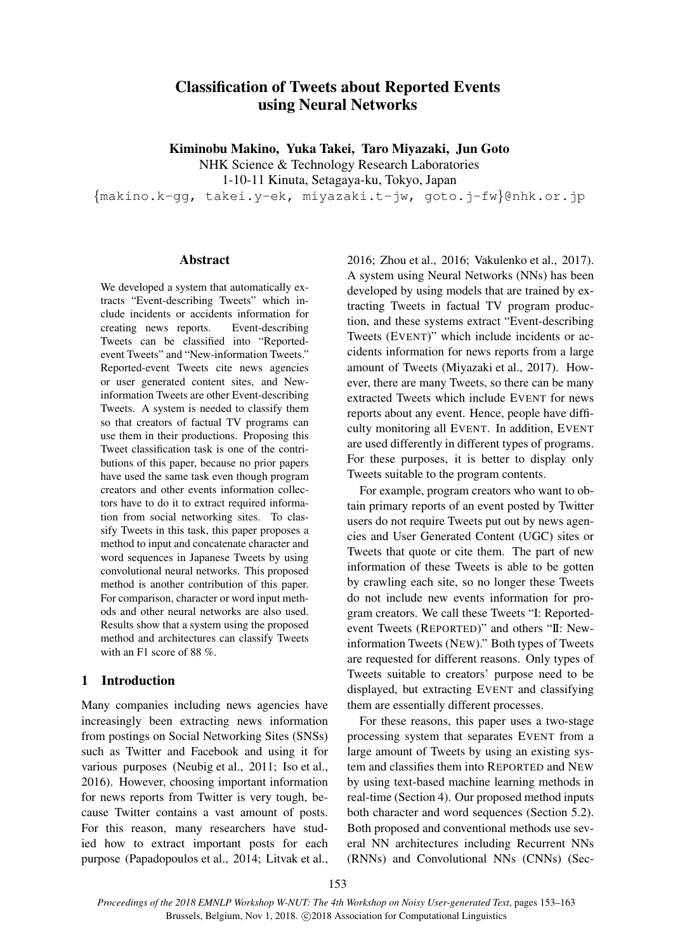# Classification of Tweets about Reported Events using Neural Networks

Kiminobu Makino, Yuka Takei, Taro Miyazaki, Jun Goto

NHK Science & Technology Research Laboratories

1-10-11 Kinuta, Setagaya-ku, Tokyo, Japan

*{*makino.k-gg, takei.y-ek, miyazaki.t-jw, goto.j-fw*}*@nhk.or.jp

## **Abstract**

We developed a system that automatically extracts "Event-describing Tweets" which include incidents or accidents information for creating news reports. Event-describing Tweets can be classified into "Reportedevent Tweets" and "New-information Tweets." Reported-event Tweets cite news agencies or user generated content sites, and Newinformation Tweets are other Event-describing Tweets. A system is needed to classify them so that creators of factual TV programs can use them in their productions. Proposing this Tweet classification task is one of the contributions of this paper, because no prior papers have used the same task even though program creators and other events information collectors have to do it to extract required information from social networking sites. To classify Tweets in this task, this paper proposes a method to input and concatenate character and word sequences in Japanese Tweets by using convolutional neural networks. This proposed method is another contribution of this paper. For comparison, character or word input methods and other neural networks are also used. Results show that a system using the proposed method and architectures can classify Tweets with an F1 score of 88 %.

# 1 Introduction

Many companies including news agencies have increasingly been extracting news information from postings on Social Networking Sites (SNSs) such as Twitter and Facebook and using it for various purposes (Neubig et al., 2011; Iso et al., 2016). However, choosing important information for news reports from Twitter is very tough, because Twitter contains a vast amount of posts. For this reason, many researchers have studied how to extract important posts for each purpose (Papadopoulos et al., 2014; Litvak et al.,

2016; Zhou et al., 2016; Vakulenko et al., 2017). A system using Neural Networks (NNs) has been developed by using models that are trained by extracting Tweets in factual TV program production, and these systems extract "Event-describing Tweets (EVENT)" which include incidents or accidents information for news reports from a large amount of Tweets (Miyazaki et al., 2017). However, there are many Tweets, so there can be many extracted Tweets which include EVENT for news reports about any event. Hence, people have difficulty monitoring all EVENT. In addition, EVENT are used differently in different types of programs. For these purposes, it is better to display only Tweets suitable to the program contents.

For example, program creators who want to obtain primary reports of an event posted by Twitter users do not require Tweets put out by news agencies and User Generated Content (UGC) sites or Tweets that quote or cite them. The part of new information of these Tweets is able to be gotten by crawling each site, so no longer these Tweets do not include new events information for program creators. We call these Tweets "I: Reportedevent Tweets (REPORTED)" and others "II: Newinformation Tweets (NEW)." Both types of Tweets are requested for different reasons. Only types of Tweets suitable to creators' purpose need to be displayed, but extracting EVENT and classifying them are essentially different processes.

For these reasons, this paper uses a two-stage processing system that separates EVENT from a large amount of Tweets by using an existing system and classifies them into REPORTED and NEW by using text-based machine learning methods in real-time (Section 4). Our proposed method inputs both character and word sequences (Section 5.2). Both proposed and conventional methods use several NN architectures including Recurrent NNs (RNNs) and Convolutional NNs (CNNs) (Sec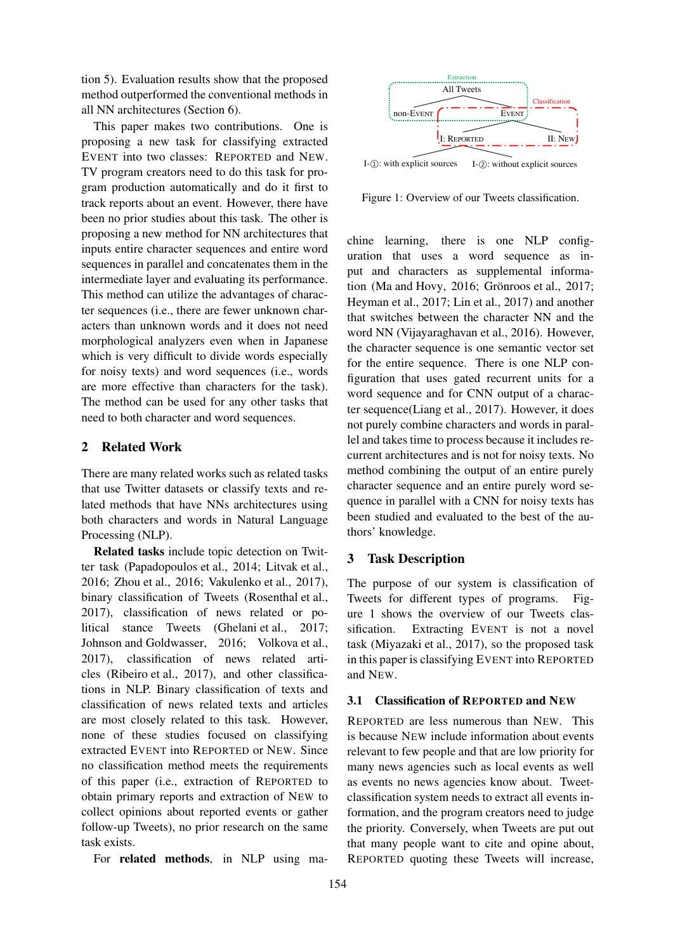tion 5). Evaluation results show that the proposed method outperformed the conventional methods in all NN architectures (Section 6).

This paper makes two contributions. One is proposing a new task for classifying extracted EVENT into two classes: REPORTED and NEW. TV program creators need to do this task for program production automatically and do it first to track reports about an event. However, there have been no prior studies about this task. The other is proposing a new method for NN architectures that inputs entire character sequences and entire word sequences in parallel and concatenates them in the intermediate layer and evaluating its performance. This method can utilize the advantages of character sequences (i.e., there are fewer unknown characters than unknown words and it does not need morphological analyzers even when in Japanese which is very difficult to divide words especially for noisy texts) and word sequences (i.e., words are more effective than characters for the task). The method can be used for any other tasks that need to both character and word sequences.

# 2 Related Work

There are many related works such as related tasks that use Twitter datasets or classify texts and related methods that have NNs architectures using both characters and words in Natural Language Processing (NLP).

Related tasks include topic detection on Twitter task (Papadopoulos et al., 2014; Litvak et al., 2016; Zhou et al., 2016; Vakulenko et al., 2017), binary classification of Tweets (Rosenthal et al., 2017), classification of news related or political stance Tweets (Ghelani et al., 2017; Johnson and Goldwasser, 2016; Volkova et al., 2017), classification of news related articles (Ribeiro et al., 2017), and other classifications in NLP. Binary classification of texts and classification of news related texts and articles are most closely related to this task. However, none of these studies focused on classifying extracted EVENT into REPORTED or NEW. Since no classification method meets the requirements of this paper (i.e., extraction of REPORTED to obtain primary reports and extraction of NEW to collect opinions about reported events or gather follow-up Tweets), no prior research on the same task exists.

For related methods, in NLP using ma-



Figure 1: Overview of our Tweets classification.

chine learning, there is one NLP configuration that uses a word sequence as input and characters as supplemental information (Ma and Hovy,  $2016$ ; Grönroos et al.,  $2017$ ; Heyman et al., 2017; Lin et al., 2017) and another that switches between the character NN and the word NN (Vijayaraghavan et al., 2016). However, the character sequence is one semantic vector set for the entire sequence. There is one NLP configuration that uses gated recurrent units for a word sequence and for CNN output of a character sequence(Liang et al., 2017). However, it does not purely combine characters and words in parallel and takes time to process because it includes recurrent architectures and is not for noisy texts. No method combining the output of an entire purely character sequence and an entire purely word sequence in parallel with a CNN for noisy texts has been studied and evaluated to the best of the authors' knowledge.

## 3 Task Description

The purpose of our system is classification of Tweets for different types of programs. Figure 1 shows the overview of our Tweets classification. Extracting EVENT is not a novel task (Miyazaki et al., 2017), so the proposed task in this paper is classifying EVENT into REPORTED and NEW.

## 3.1 Classification of REPORTED and NEW

REPORTED are less numerous than NEW. This is because NEW include information about events relevant to few people and that are low priority for many news agencies such as local events as well as events no news agencies know about. Tweetclassification system needs to extract all events information, and the program creators need to judge the priority. Conversely, when Tweets are put out that many people want to cite and opine about, REPORTED quoting these Tweets will increase,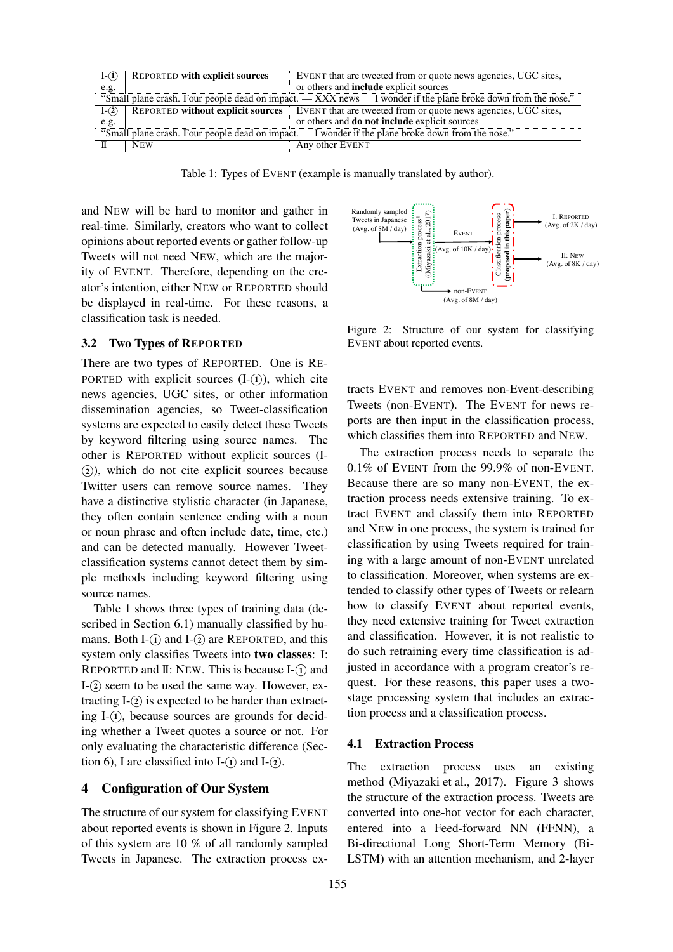

Table 1: Types of EVENT (example is manually translated by author).

and NEW will be hard to monitor and gather in real-time. Similarly, creators who want to collect opinions about reported events or gather follow-up Tweets will not need NEW, which are the majority of EVENT. Therefore, depending on the creator's intention, either NEW or REPORTED should be displayed in real-time. For these reasons, a classification task is needed.

#### 3.2 Two Types of REPORTED

There are two types of REPORTED. One is RE-PORTED with explicit sources  $(I-(\hat{I}))$ , which cite news agencies, UGC sites, or other information dissemination agencies, so Tweet-classification systems are expected to easily detect these Tweets by keyword filtering using source names. The other is REPORTED without explicit sources (I-  $(2)$ , which do not cite explicit sources because Twitter users can remove source names. They have a distinctive stylistic character (in Japanese, they often contain sentence ending with a noun or noun phrase and often include date, time, etc.) and can be detected manually. However Tweetclassification systems cannot detect them by simple methods including keyword filtering using source names.

Table 1 shows three types of training data (described in Section 6.1) manually classified by humans. Both I- $\Omega$  and I- $\Omega$  are REPORTED, and this system only classifies Tweets into two classes: I: REPORTED and II: NEW. This is because I- $(1)$  and I-<sup>2</sup>) seem to be used the same way. However, extracting  $I-(2)$  is expected to be harder than extracting  $I-(i)$ , because sources are grounds for deciding whether a Tweet quotes a source or not. For only evaluating the characteristic difference (Section 6). I are classified into  $I-(\hat{l})$  and  $I-(\hat{2})$ .

## 4 Configuration of Our System

The structure of our system for classifying EVENT about reported events is shown in Figure 2. Inputs of this system are 10 % of all randomly sampled Tweets in Japanese. The extraction process ex-



Figure 2: Structure of our system for classifying EVENT about reported events.

tracts EVENT and removes non-Event-describing Tweets (non-EVENT). The EVENT for news reports are then input in the classification process, which classifies them into REPORTED and NEW.

The extraction process needs to separate the 0.1% of EVENT from the 99.9% of non-EVENT. Because there are so many non-EVENT, the extraction process needs extensive training. To extract EVENT and classify them into REPORTED and NEW in one process, the system is trained for classification by using Tweets required for training with a large amount of non-EVENT unrelated to classification. Moreover, when systems are extended to classify other types of Tweets or relearn how to classify EVENT about reported events, they need extensive training for Tweet extraction and classification. However, it is not realistic to do such retraining every time classification is adjusted in accordance with a program creator's request. For these reasons, this paper uses a twostage processing system that includes an extraction process and a classification process.

#### 4.1 Extraction Process

The extraction process uses an existing method (Miyazaki et al., 2017). Figure 3 shows the structure of the extraction process. Tweets are converted into one-hot vector for each character, entered into a Feed-forward NN (FFNN), a Bi-directional Long Short-Term Memory (Bi-LSTM) with an attention mechanism, and 2-layer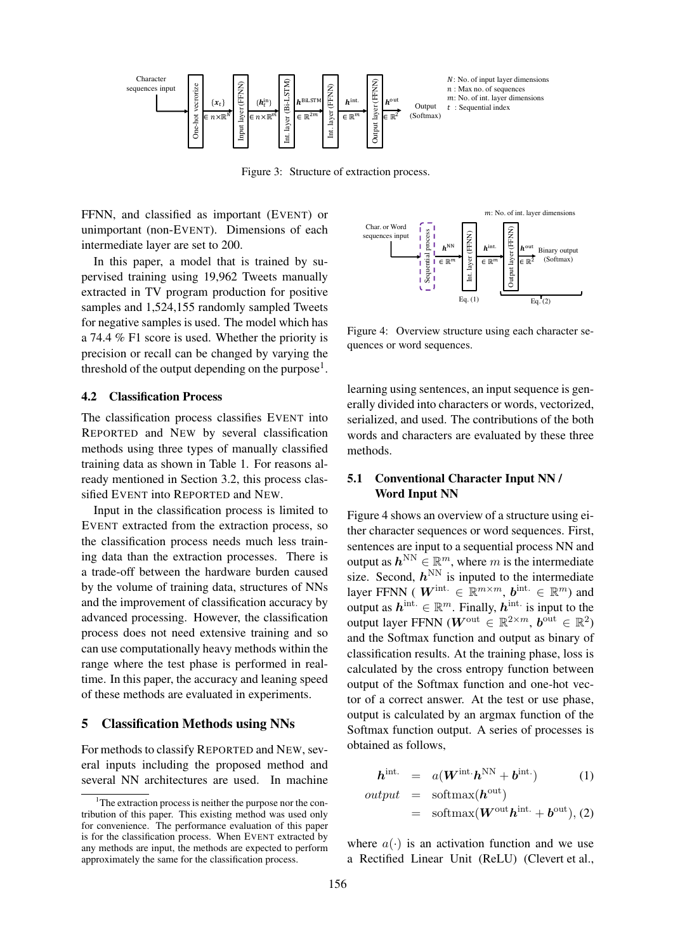

Figure 3: Structure of extraction process.

FFNN, and classified as important (EVENT) or unimportant (non-EVENT). Dimensions of each intermediate layer are set to 200.

In this paper, a model that is trained by supervised training using 19,962 Tweets manually extracted in TV program production for positive samples and 1,524,155 randomly sampled Tweets for negative samples is used. The model which has a 74.4 % F1 score is used. Whether the priority is precision or recall can be changed by varying the threshold of the output depending on the purpose<sup>1</sup>.

#### 4.2 Classification Process

The classification process classifies EVENT into REPORTED and NEW by several classification methods using three types of manually classified training data as shown in Table 1. For reasons already mentioned in Section 3.2, this process classified EVENT into REPORTED and NEW.

Input in the classification process is limited to EVENT extracted from the extraction process, so the classification process needs much less training data than the extraction processes. There is a trade-off between the hardware burden caused by the volume of training data, structures of NNs and the improvement of classification accuracy by advanced processing. However, the classification process does not need extensive training and so can use computationally heavy methods within the range where the test phase is performed in realtime. In this paper, the accuracy and leaning speed of these methods are evaluated in experiments.

## 5 Classification Methods using NNs

For methods to classify REPORTED and NEW, several inputs including the proposed method and several NN architectures are used. In machine



Figure 4: Overview structure using each character sequences or word sequences.

learning using sentences, an input sequence is generally divided into characters or words, vectorized, serialized, and used. The contributions of the both words and characters are evaluated by these three methods.

# 5.1 Conventional Character Input NN / Word Input NN

Figure 4 shows an overview of a structure using either character sequences or word sequences. First, sentences are input to a sequential process NN and output as  $h^{\text{NN}} \in \mathbb{R}^m$ , where *m* is the intermediate size. Second,  $h^{\text{NN}}$  is inputed to the intermediate layer FFNN (  $W^{\text{int.}} \in \mathbb{R}^{m \times m}$ ,  $b^{\text{int.}} \in \mathbb{R}^{m}$ ) and output as  $h^{\text{int.}} \in \mathbb{R}^m$ . Finally,  $h^{\text{int.}}$  is input to the output layer FFNN ( $W^{\text{out}} \in \mathbb{R}^{2 \times m}$ ,  $b^{\text{out}} \in \mathbb{R}^{2}$ ) and the Softmax function and output as binary of classification results. At the training phase, loss is calculated by the cross entropy function between output of the Softmax function and one-hot vector of a correct answer. At the test or use phase, output is calculated by an argmax function of the Softmax function output. A series of processes is obtained as follows,

$$
\boldsymbol{h}^{\text{int.}} = a(\boldsymbol{W}^{\text{int.}} \boldsymbol{h}^{\text{NN}} + \boldsymbol{b}^{\text{int.}}) \tag{1}
$$

$$
output = softmax(hout)
$$
  
= softmax( $Wouthint. + bout), (2)$ 

where  $a(\cdot)$  is an activation function and we use a Rectified Linear Unit (ReLU) (Clevert et al.,

 $1$ <sup>1</sup>The extraction process is neither the purpose nor the contribution of this paper. This existing method was used only for convenience. The performance evaluation of this paper is for the classification process. When EVENT extracted by any methods are input, the methods are expected to perform approximately the same for the classification process.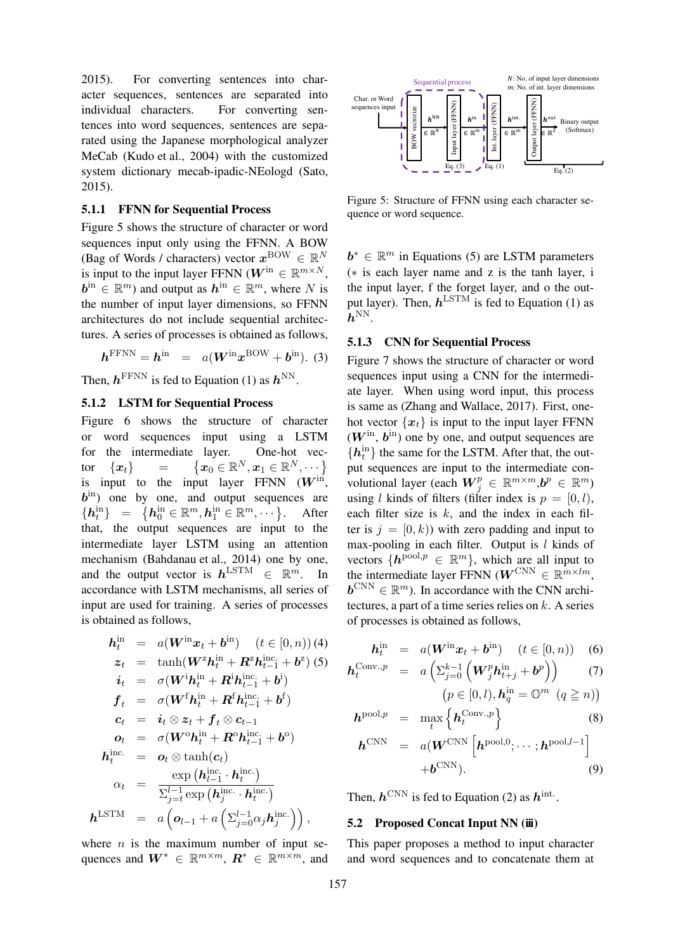2015). For converting sentences into character sequences, sentences are separated into individual characters. For converting sentences into word sequences, sentences are separated using the Japanese morphological analyzer MeCab (Kudo et al., 2004) with the customized system dictionary mecab-ipadic-NEologd (Sato, 2015).

#### 5.1.1 FFNN for Sequential Process

Figure 5 shows the structure of character or word sequences input only using the FFNN. A BOW (Bag of Words / characters) vector  $x^{BOW} \in \mathbb{R}^N$ is input to the input layer FFNN ( $W^{\text{in}} \in \mathbb{R}^{m \times N}$ ,  $\mathbf{b}^{\text{in}} \in \mathbb{R}^m$ ) and output as  $\mathbf{h}^{\text{in}} \in \mathbb{R}^m$ , where *N* is the number of input layer dimensions, so FFNN architectures do not include sequential architectures. A series of processes is obtained as follows,

$$
\boldsymbol{h}^{\text{FFNN}} = \boldsymbol{h}^{\text{in}} = a(\boldsymbol{W}^{\text{in}} \boldsymbol{x}^{\text{BOW}} + \boldsymbol{b}^{\text{in}}). (3)
$$

Then,  $h^{\text{FFNN}}$  is fed to Equation (1) as  $h^{\text{NN}}$ .

## 5.1.2 LSTM for Sequential Process

Figure 6 shows the structure of character or word sequences input using a LSTM for the intermediate layer. One-hot vector  $\{x_t\}$  =  $\left\{\boldsymbol{x}_0 \in \mathbb{R}^N, \boldsymbol{x}_1 \in \mathbb{R}^N, \cdots\right\}$ is input to the input layer FFNN  $(W^{\text{in}})$ ,  $b^{\text{in}}$ ) one by one, and output sequences are  $\left\{ \boldsymbol{h}^{\text{in}}_{t}\right\} \;\;=\;\; \left\{ \boldsymbol{h}^{\text{in}}_{0} \in \mathbb{R}^{m}, \boldsymbol{h}^{\text{in}}_{1} \in \mathbb{R}^{m}, \cdots \right\}$ . After that, the output sequences are input to the intermediate layer LSTM using an attention mechanism (Bahdanau et al., 2014) one by one, and the output vector is  $h^{\text{LSTM}} \in \mathbb{R}^m$ . In accordance with LSTM mechanisms, all series of input are used for training. A series of processes is obtained as follows,

$$
h_t^{\text{in}} = a(W^{\text{in}}x_t + b^{\text{in}}) \quad (t \in [0, n)) \text{ (4)}
$$
\n
$$
z_t = \tanh(W^z h_t^{\text{in}} + R^z h_{t-1}^{\text{inc}} + b^z) \text{ (5)}
$$
\n
$$
i_t = \sigma(W^i h_t^{\text{in}} + R^i h_{t-1}^{\text{inc}} + b^i)
$$
\n
$$
f_t = \sigma(W^f h_t^{\text{in}} + R^f h_{t-1}^{\text{inc}} + b^f)
$$
\n
$$
c_t = i_t \otimes z_t + f_t \otimes c_{t-1}
$$
\n
$$
o_t = \sigma(W^o h_t^{\text{in}} + R^o h_{t-1}^{\text{inc}} + b^o)
$$
\n
$$
h_t^{\text{inc.}} = o_t \otimes \tanh(c_t)
$$
\n
$$
\alpha_t = \frac{\exp(h_{l-1}^{\text{inc}} \cdot h_t^{\text{inc}})}{\sum_{j=t}^{l-1} \exp(h_j^{\text{inc}} \cdot h_t^{\text{inc}})}
$$
\n
$$
h^{\text{LSTM}} = a\left(o_{l-1} + a\left(\sum_{j=0}^{l-1} \alpha_j h_j^{\text{inc}}\right)\right),
$$

where *n* is the maximum number of input sequences and  $W^* \in \mathbb{R}^{m \times m}$ ,  $R^* \in \mathbb{R}^{m \times m}$ , and



Figure 5: Structure of FFNN using each character sequence or word sequence.

*b*<sup>\*</sup> ∈  $\mathbb{R}^m$  in Equations (5) are LSTM parameters (*∗* is each layer name and z is the tanh layer, i the input layer, f the forget layer, and o the output layer). Then,  $h^{\text{LSTM}}$  is fed to Equation (1) as  $\bm{h}^{\mathrm{NN}}.$ 

## 5.1.3 CNN for Sequential Process

Figure 7 shows the structure of character or word sequences input using a CNN for the intermediate layer. When using word input, this process is same as (Zhang and Wallace, 2017). First, onehot vector  $\{x_t\}$  is input to the input layer FFNN  $(W^{\text{in}}, b^{\text{in}})$  one by one, and output sequences are  ${h_t^{\text{in}}}$  the same for the LSTM. After that, the output sequences are input to the intermediate convolutional layer (each  $W_j^p \in \mathbb{R}^{m \times m}, b^p \in \mathbb{R}^m$ ) using *l* kinds of filters (filter index is  $p = [0, l)$ , each filter size is *k*, and the index in each filter is  $j = [0, k)$ ) with zero padding and input to max-pooling in each filter. Output is *l* kinds of vectors  $\{h^{pool,p} \in \mathbb{R}^m\}$ , which are all input to the intermediate layer FFNN ( $W^{\text{CNN}} \in \mathbb{R}^{m \times lm}$ ,  $\mathbf{b}^{\text{CNN}} \in \mathbb{R}^m$ ). In accordance with the CNN architectures, a part of a time series relies on *k*. A series of processes is obtained as follows,

$$
\boldsymbol{h}_t^{\text{in}} = a(\boldsymbol{W}^{\text{in}} \boldsymbol{x}_t + \boldsymbol{b}^{\text{in}}) \quad (t \in [0, n)) \quad (6)
$$

$$
\mathbf{h}_t^{\text{Conv},p} = a\left(\Sigma_{j=0}^{k-1} \left(\mathbf{W}_j^p \mathbf{h}_{t+j}^{\text{in}} + \mathbf{b}^p\right)\right) \tag{7}
$$
\n
$$
\left(p \in [0,l), \mathbf{h}_q^{\text{in}} = \mathbb{O}^m \ (q \ge n)\right)
$$

$$
\boldsymbol{h}^{\text{pool},p} = \max_{t} \left\{ \boldsymbol{h}^{\text{Conv},p}_{t} \right\} \tag{8}
$$

$$
\boldsymbol{h}^{\text{CNN}} = a(\boldsymbol{W}^{\text{CNN}} \left[ \boldsymbol{h}^{\text{pool},0}; \cdots; \boldsymbol{h}^{\text{pool},l-1} \right] + \boldsymbol{b}^{\text{CNN}}). \tag{9}
$$

Then,  $h^{\text{CNN}}$  is fed to Equation (2) as  $h^{\text{int}}$ .

#### 5.2 Proposed Concat Input NN (iii)

This paper proposes a method to input character and word sequences and to concatenate them at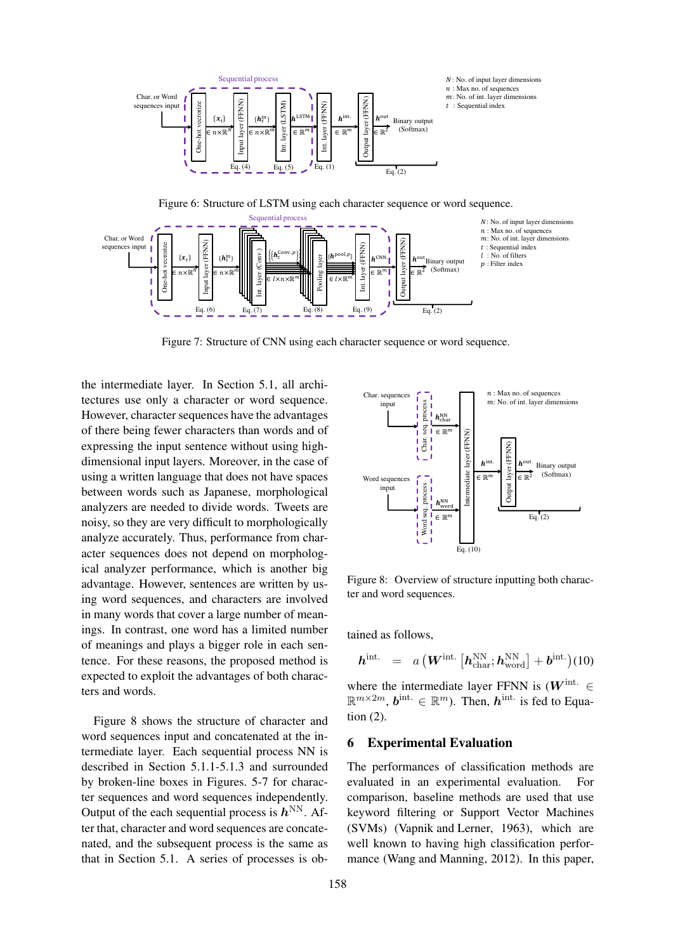

Figure 6: Structure of LSTM using each character sequence or word sequence.



Figure 7: Structure of CNN using each character sequence or word sequence.

the intermediate layer. In Section 5.1, all architectures use only a character or word sequence. However, character sequences have the advantages of there being fewer characters than words and of expressing the input sentence without using highdimensional input layers. Moreover, in the case of using a written language that does not have spaces between words such as Japanese, morphological analyzers are needed to divide words. Tweets are noisy, so they are very difficult to morphologically analyze accurately. Thus, performance from character sequences does not depend on morphological analyzer performance, which is another big advantage. However, sentences are written by using word sequences, and characters are involved in many words that cover a large number of meanings. In contrast, one word has a limited number of meanings and plays a bigger role in each sentence. For these reasons, the proposed method is expected to exploit the advantages of both characters and words. or there demy teaches and words and words are concerned at does not be a series of the case of the extreme in apparent does not have spaces. The processes is ob- Intermediate layer, Extreme is obtained to the extreme from

Figure 8 shows the structure of character and word sequences input and concatenated at the intermediate layer. Each sequential process NN is described in Section 5.1.1-5.1.3 and surrounded by broken-line boxes in Figures. 5-7 for character sequences and word sequences independently. Output of the each sequential process is  $h^{\text{NN}}$ . After that, character and word sequences are concatenated, and the subsequent process is the same as



Figure 8: Overview of structure inputting both character and word sequences.

tained as follows,

$$
\boldsymbol{h}^{\text{int.}} = a \left( \boldsymbol{W}^{\text{int.}} \left[ \boldsymbol{h}^{\text{NN}}_{\text{char}}; \boldsymbol{h}^{\text{NN}}_{\text{word}} \right] + \boldsymbol{b}^{\text{int.}} \right) (10)
$$

where the intermediate layer FFNN is  $(W^{\text{int.}} \in$  $\mathbb{R}^{m \times 2m}$ ,  $\mathbf{b}$ <sup>int.</sup>  $\in \mathbb{R}^m$ ). Then,  $\mathbf{h}$ <sup>int.</sup> is fed to Equation (2).

## 6 Experimental Evaluation

The performances of classification methods are evaluated in an experimental evaluation. For comparison, baseline methods are used that use keyword filtering or Support Vector Machines (SVMs) (Vapnik and Lerner, 1963), which are well known to having high classification performance (Wang and Manning, 2012). In this paper,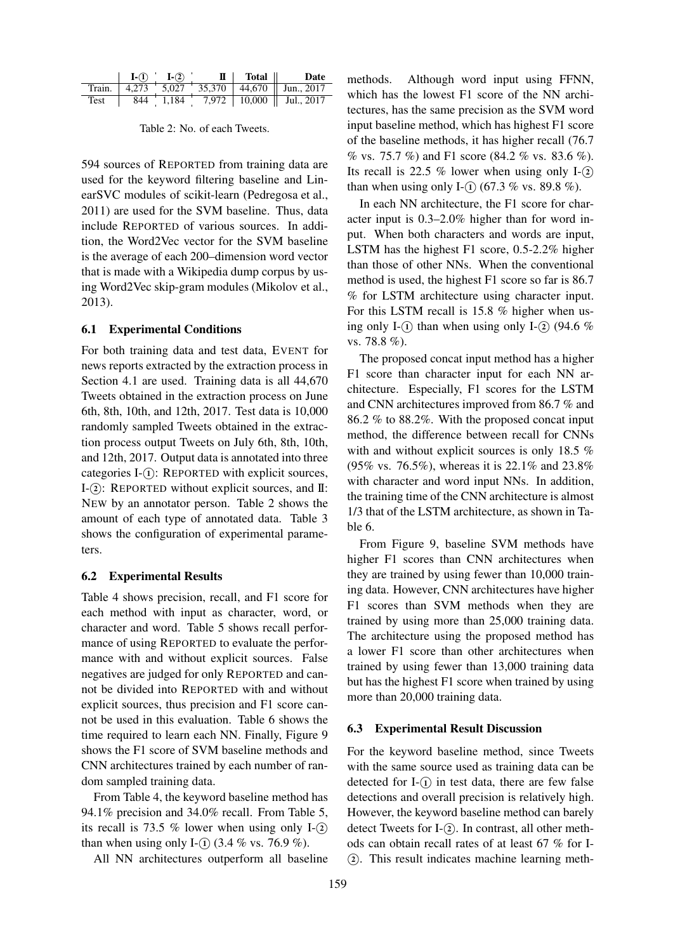|      | $I-(1)$ $I-(2)$ |  | $\mathbf{I}$ Total Date                                                                          |
|------|-----------------|--|--------------------------------------------------------------------------------------------------|
|      |                 |  | Train. $\left  4,273 \right $ 5,027 $\left  35,370 \right $ 44,670 $\left  1 \right $ Jun., 2017 |
| Test |                 |  | $844$ 1,184 7,972   10,000   Jul., 2017                                                          |

594 sources of REPORTED from training data are used for the keyword filtering baseline and LinearSVC modules of scikit-learn (Pedregosa et al., 2011) are used for the SVM baseline. Thus, data include REPORTED of various sources. In addition, the Word2Vec vector for the SVM baseline is the average of each 200–dimension word vector that is made with a Wikipedia dump corpus by using Word2Vec skip-gram modules (Mikolov et al., 2013).

## 6.1 Experimental Conditions

For both training data and test data, EVENT for news reports extracted by the extraction process in Section 4.1 are used. Training data is all 44,670 Tweets obtained in the extraction process on June 6th, 8th, 10th, and 12th, 2017. Test data is 10,000 randomly sampled Tweets obtained in the extraction process output Tweets on July 6th, 8th, 10th, and 12th, 2017. Output data is annotated into three categories I- $(i)$ : REPORTED with explicit sources, I-(2): REPORTED without explicit sources, and II: NEW by an annotator person. Table 2 shows the amount of each type of annotated data. Table 3 shows the configuration of experimental parameters.

#### 6.2 Experimental Results

Table 4 shows precision, recall, and F1 score for each method with input as character, word, or character and word. Table 5 shows recall performance of using REPORTED to evaluate the performance with and without explicit sources. False negatives are judged for only REPORTED and cannot be divided into REPORTED with and without explicit sources, thus precision and F1 score cannot be used in this evaluation. Table 6 shows the time required to learn each NN. Finally, Figure 9 shows the F1 score of SVM baseline methods and CNN architectures trained by each number of random sampled training data.

From Table 4, the keyword baseline method has 94.1% precision and 34.0% recall. From Table 5, its recall is 73.5  $%$  lower when using only I- $(2)$ than when using only I- $\Omega$  (3.4 % vs. 76.9 %).

All NN architectures outperform all baseline

methods. Although word input using FFNN, which has the lowest F1 score of the NN architectures, has the same precision as the SVM word input baseline method, which has highest F1 score of the baseline methods, it has higher recall (76.7 % vs. 75.7 %) and F1 score (84.2 % vs. 83.6 %). Its recall is 22.5 % lower when using only  $I-(2)$ than when using only I- $\Omega$  (67.3 % vs. 89.8 %).

In each NN architecture, the F1 score for character input is 0.3–2.0% higher than for word input. When both characters and words are input, LSTM has the highest F1 score, 0.5-2.2% higher than those of other NNs. When the conventional method is used, the highest F1 score so far is 86.7 % for LSTM architecture using character input. For this LSTM recall is 15.8 % higher when using only I- $\Omega$ ) than when using only I- $\Omega$  (94.6 %) vs. 78.8 %).

The proposed concat input method has a higher F1 score than character input for each NN architecture. Especially, F1 scores for the LSTM and CNN architectures improved from 86.7 % and 86.2 % to 88.2%. With the proposed concat input method, the difference between recall for CNNs with and without explicit sources is only 18.5 % (95% vs. 76.5%), whereas it is 22.1% and 23.8% with character and word input NNs. In addition, the training time of the CNN architecture is almost 1/3 that of the LSTM architecture, as shown in Table 6.

From Figure 9, baseline SVM methods have higher F1 scores than CNN architectures when they are trained by using fewer than 10,000 training data. However, CNN architectures have higher F1 scores than SVM methods when they are trained by using more than 25,000 training data. The architecture using the proposed method has a lower F1 score than other architectures when trained by using fewer than 13,000 training data but has the highest F1 score when trained by using more than 20,000 training data.

#### 6.3 Experimental Result Discussion

For the keyword baseline method, since Tweets with the same source used as training data can be detected for  $I-(\widehat{I})$  in test data, there are few false detections and overall precision is relatively high. However, the keyword baseline method can barely detect Tweets for I-<sup>(2)</sup>. In contrast, all other methods can obtain recall rates of at least 67 % for I- *⃝*<sup>2</sup> . This result indicates machine learning meth-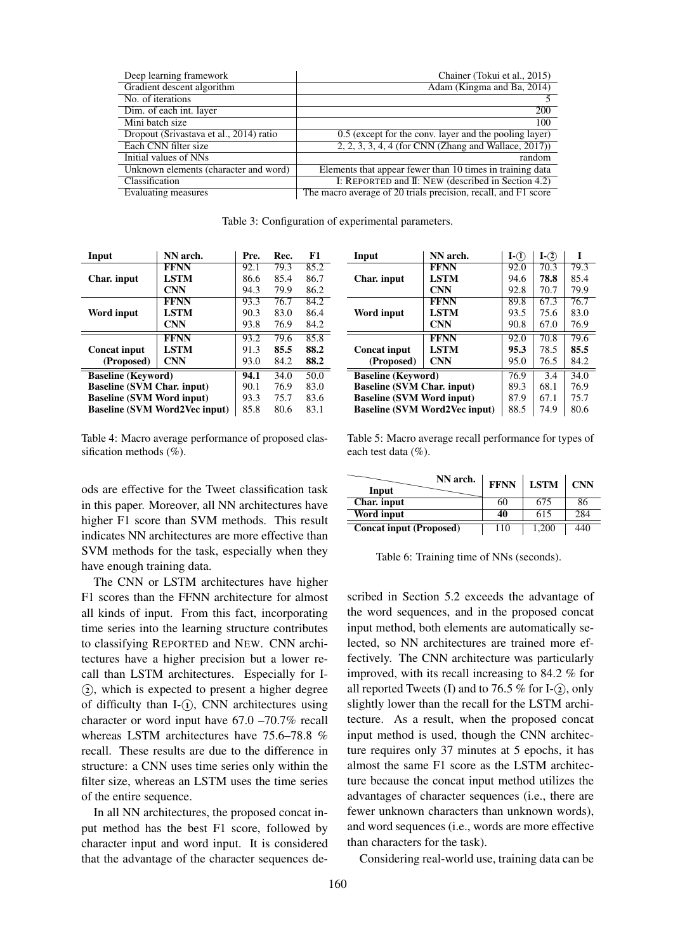| Deep learning framework                 | Chainer (Tokui et al., 2015)                                   |
|-----------------------------------------|----------------------------------------------------------------|
| Gradient descent algorithm              | Adam (Kingma and Ba, 2014)                                     |
| No. of iterations                       |                                                                |
| Dim. of each int. layer                 | $\overline{200}$                                               |
| Mini batch size                         | 100                                                            |
| Dropout (Srivastava et al., 2014) ratio | 0.5 (except for the conv. layer and the pooling layer)         |
| Each CNN filter size                    | $2, 2, 3, 3, 4, 4$ (for CNN (Zhang and Wallace, 2017))         |
| Initial values of NNs                   | random                                                         |
| Unknown elements (character and word)   | Elements that appear fewer than 10 times in training data      |
| Classification                          | I: REPORTED and II: NEW (described in Section 4.2)             |
| Evaluating measures                     | The macro average of 20 trials precision, recall, and F1 score |

Table 3: Configuration of experimental parameters.

| Input                             | NN arch.                             | Pre. | Rec. | F1   |
|-----------------------------------|--------------------------------------|------|------|------|
|                                   | <b>FFNN</b>                          | 92.1 | 79.3 | 85.2 |
| Char. input                       | <b>LSTM</b>                          | 86.6 | 85.4 | 86.7 |
|                                   | <b>CNN</b>                           | 94.3 | 79.9 | 86.2 |
|                                   | <b>FFNN</b>                          | 93.3 | 76.7 | 84.2 |
| Word input                        | <b>LSTM</b>                          | 90.3 | 83.0 | 86.4 |
|                                   | <b>CNN</b>                           | 93.8 | 76.9 | 84.2 |
|                                   | <b>FFNN</b>                          | 93.2 | 79.6 | 85.8 |
| <b>Concat input</b>               | <b>LSTM</b>                          | 91.3 | 85.5 | 88.2 |
| (Proposed)                        | <b>CNN</b>                           | 93.0 | 84.2 | 88.2 |
| <b>Baseline (Keyword)</b>         |                                      | 94.1 | 34.0 | 50.0 |
| <b>Baseline (SVM Char. input)</b> |                                      | 90.1 | 76.9 | 83.0 |
| <b>Baseline (SVM Word input)</b>  |                                      | 93.3 | 75.7 | 83.6 |
|                                   | <b>Baseline (SVM Word2Vec input)</b> | 85.8 | 80.6 | 83.1 |

Table 4: Macro average performance of proposed classification methods (%).

ods are effective for the Tweet classification task in this paper. Moreover, all NN architectures have higher F1 score than SVM methods. This result indicates NN architectures are more effective than SVM methods for the task, especially when they have enough training data.

The CNN or LSTM architectures have higher F1 scores than the FFNN architecture for almost all kinds of input. From this fact, incorporating time series into the learning structure contributes to classifying REPORTED and NEW. CNN architectures have a higher precision but a lower recall than LSTM architectures. Especially for I-  $(2)$ , which is expected to present a higher degree of difficulty than I-<sup>(1)</sup>, CNN architectures using character or word input have 67.0 –70.7% recall whereas LSTM architectures have 75.6–78.8 % recall. These results are due to the difference in structure: a CNN uses time series only within the filter size, whereas an LSTM uses the time series of the entire sequence.

In all NN architectures, the proposed concat input method has the best F1 score, followed by character input and word input. It is considered that the advantage of the character sequences de-

| Input                             | NN arch.                             | $I-(\widehat{l})$ | $I-(2)$ | T    |
|-----------------------------------|--------------------------------------|-------------------|---------|------|
|                                   | <b>FFNN</b>                          | 92.0              | 70.3    | 79.3 |
| Char. input                       | <b>LSTM</b>                          | 94.6              | 78.8    | 85.4 |
|                                   | <b>CNN</b>                           | 92.8              | 70.7    | 79.9 |
|                                   | <b>FFNN</b>                          | 89.8              | 67.3    | 76.7 |
| Word input                        | <b>LSTM</b>                          | 93.5              | 75.6    | 83.0 |
|                                   | <b>CNN</b>                           | 90.8              | 67.0    | 76.9 |
|                                   | <b>FFNN</b>                          | 92.0              | 70.8    | 79.6 |
| <b>Concat input</b>               | <b>LSTM</b>                          | 95.3              | 78.5    | 85.5 |
| (Proposed)                        | <b>CNN</b>                           | 95.0              | 76.5    | 84.2 |
| <b>Baseline (Keyword)</b>         |                                      | 76.9              | 3.4     | 34.0 |
| <b>Baseline (SVM Char. input)</b> |                                      | 89.3              | 68.1    | 76.9 |
| <b>Baseline (SVM Word input)</b>  |                                      | 87.9              | 67.1    | 75.7 |
|                                   | <b>Baseline (SVM Word2Vec input)</b> | 88.5              | 74.9    | 80.6 |

Table 5: Macro average recall performance for types of each test data (%).

| NN arch.<br>Input              | <b>FFNN</b> | <b>LSTM</b> | <b>CNN</b> |
|--------------------------------|-------------|-------------|------------|
| Char. input                    | 60          | 675         | 86         |
| Word input                     | 40          |             | 284        |
| <b>Concat input (Proposed)</b> |             | .200        |            |

Table 6: Training time of NNs (seconds).

scribed in Section 5.2 exceeds the advantage of the word sequences, and in the proposed concat input method, both elements are automatically selected, so NN architectures are trained more effectively. The CNN architecture was particularly improved, with its recall increasing to 84.2 % for all reported Tweets (I) and to 76.5  $%$  for I- $(2)$ , only slightly lower than the recall for the LSTM architecture. As a result, when the proposed concat input method is used, though the CNN architecture requires only 37 minutes at 5 epochs, it has almost the same F1 score as the LSTM architecture because the concat input method utilizes the advantages of character sequences (i.e., there are fewer unknown characters than unknown words), and word sequences (i.e., words are more effective than characters for the task).

Considering real-world use, training data can be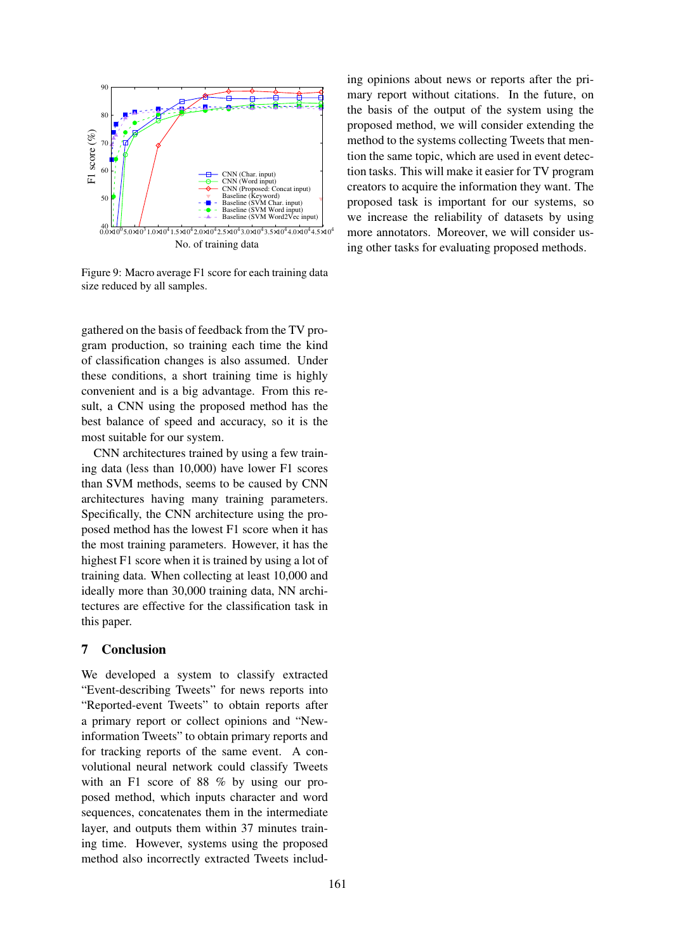

Figure 9: Macro average F1 score for each training data size reduced by all samples.

gathered on the basis of feedback from the TV program production, so training each time the kind of classification changes is also assumed. Under these conditions, a short training time is highly convenient and is a big advantage. From this result, a CNN using the proposed method has the best balance of speed and accuracy, so it is the most suitable for our system.

CNN architectures trained by using a few training data (less than 10,000) have lower F1 scores than SVM methods, seems to be caused by CNN architectures having many training parameters. Specifically, the CNN architecture using the proposed method has the lowest F1 score when it has the most training parameters. However, it has the highest F1 score when it is trained by using a lot of training data. When collecting at least 10,000 and ideally more than 30,000 training data, NN architectures are effective for the classification task in this paper.

# 7 Conclusion

We developed a system to classify extracted "Event-describing Tweets" for news reports into "Reported-event Tweets" to obtain reports after a primary report or collect opinions and "Newinformation Tweets" to obtain primary reports and for tracking reports of the same event. A convolutional neural network could classify Tweets with an F1 score of 88 % by using our proposed method, which inputs character and word sequences, concatenates them in the intermediate layer, and outputs them within 37 minutes training time. However, systems using the proposed method also incorrectly extracted Tweets including opinions about news or reports after the primary report without citations. In the future, on the basis of the output of the system using the proposed method, we will consider extending the method to the systems collecting Tweets that mention the same topic, which are used in event detection tasks. This will make it easier for TV program creators to acquire the information they want. The proposed task is important for our systems, so we increase the reliability of datasets by using more annotators. Moreover, we will consider using other tasks for evaluating proposed methods.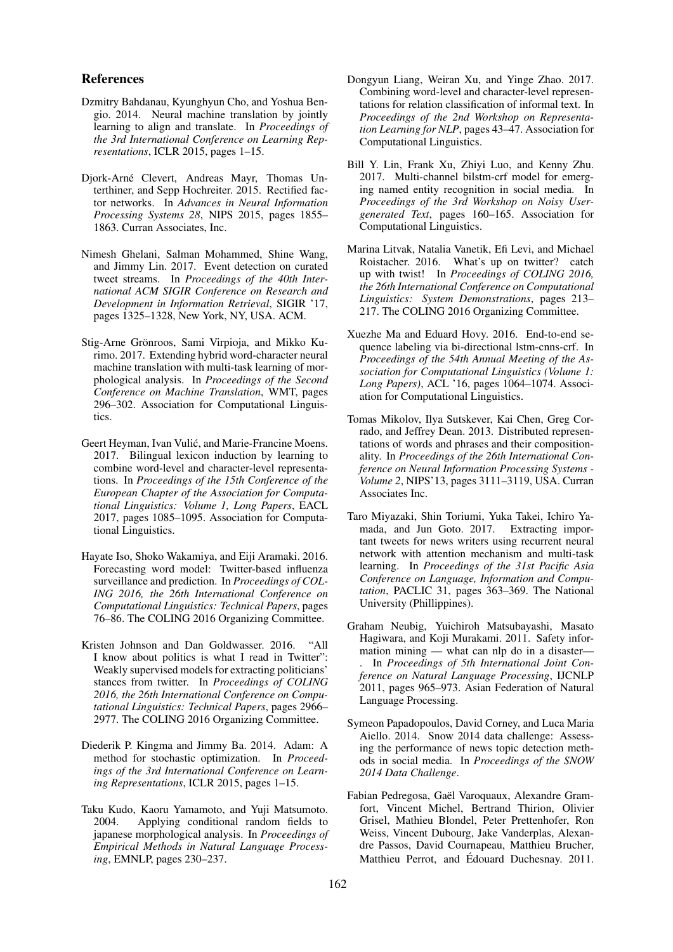### References

- Dzmitry Bahdanau, Kyunghyun Cho, and Yoshua Bengio. 2014. Neural machine translation by jointly learning to align and translate. In *Proceedings of the 3rd International Conference on Learning Representations*, ICLR 2015, pages 1–15.
- Djork-Arne Clevert, Andreas Mayr, Thomas Un- ´ terthiner, and Sepp Hochreiter. 2015. Rectified factor networks. In *Advances in Neural Information Processing Systems 28*, NIPS 2015, pages 1855– 1863. Curran Associates, Inc.
- Nimesh Ghelani, Salman Mohammed, Shine Wang, and Jimmy Lin. 2017. Event detection on curated tweet streams. In *Proceedings of the 40th International ACM SIGIR Conference on Research and Development in Information Retrieval*, SIGIR '17, pages 1325–1328, New York, NY, USA. ACM.
- Stig-Arne Grönroos, Sami Virpioja, and Mikko Kurimo. 2017. Extending hybrid word-character neural machine translation with multi-task learning of morphological analysis. In *Proceedings of the Second Conference on Machine Translation*, WMT, pages 296–302. Association for Computational Linguistics.
- Geert Heyman, Ivan Vulić, and Marie-Francine Moens. 2017. Bilingual lexicon induction by learning to combine word-level and character-level representations. In *Proceedings of the 15th Conference of the European Chapter of the Association for Computational Linguistics: Volume 1, Long Papers*, EACL 2017, pages 1085–1095. Association for Computational Linguistics.
- Hayate Iso, Shoko Wakamiya, and Eiji Aramaki. 2016. Forecasting word model: Twitter-based influenza surveillance and prediction. In *Proceedings of COL-ING 2016, the 26th International Conference on Computational Linguistics: Technical Papers*, pages 76–86. The COLING 2016 Organizing Committee.
- Kristen Johnson and Dan Goldwasser. 2016. "All I know about politics is what I read in Twitter": Weakly supervised models for extracting politicians' stances from twitter. In *Proceedings of COLING 2016, the 26th International Conference on Computational Linguistics: Technical Papers*, pages 2966– 2977. The COLING 2016 Organizing Committee.
- Diederik P. Kingma and Jimmy Ba. 2014. Adam: A method for stochastic optimization. In *Proceedings of the 3rd International Conference on Learning Representations*, ICLR 2015, pages 1–15.
- Taku Kudo, Kaoru Yamamoto, and Yuji Matsumoto. 2004. Applying conditional random fields to japanese morphological analysis. In *Proceedings of Empirical Methods in Natural Language Processing*, EMNLP, pages 230–237.
- Dongyun Liang, Weiran Xu, and Yinge Zhao. 2017. Combining word-level and character-level representations for relation classification of informal text. In *Proceedings of the 2nd Workshop on Representation Learning for NLP*, pages 43–47. Association for Computational Linguistics.
- Bill Y. Lin, Frank Xu, Zhiyi Luo, and Kenny Zhu. 2017. Multi-channel bilstm-crf model for emerging named entity recognition in social media. In *Proceedings of the 3rd Workshop on Noisy Usergenerated Text*, pages 160–165. Association for Computational Linguistics.
- Marina Litvak, Natalia Vanetik, Efi Levi, and Michael Roistacher. 2016. What's up on twitter? catch up with twist! In *Proceedings of COLING 2016, the 26th International Conference on Computational Linguistics: System Demonstrations*, pages 213– 217. The COLING 2016 Organizing Committee.
- Xuezhe Ma and Eduard Hovy. 2016. End-to-end sequence labeling via bi-directional lstm-cnns-crf. In *Proceedings of the 54th Annual Meeting of the Association for Computational Linguistics (Volume 1: Long Papers)*, ACL '16, pages 1064–1074. Association for Computational Linguistics.
- Tomas Mikolov, Ilya Sutskever, Kai Chen, Greg Corrado, and Jeffrey Dean. 2013. Distributed representations of words and phrases and their compositionality. In *Proceedings of the 26th International Conference on Neural Information Processing Systems - Volume 2*, NIPS'13, pages 3111–3119, USA. Curran Associates Inc.
- Taro Miyazaki, Shin Toriumi, Yuka Takei, Ichiro Yamada, and Jun Goto. 2017. Extracting important tweets for news writers using recurrent neural network with attention mechanism and multi-task learning. In *Proceedings of the 31st Pacific Asia Conference on Language, Information and Computation*, PACLIC 31, pages 363–369. The National University (Phillippines).
- Graham Neubig, Yuichiroh Matsubayashi, Masato Hagiwara, and Koji Murakami. 2011. Safety information mining — what can nlp do in a disaster— . In *Proceedings of 5th International Joint Conference on Natural Language Processing*, IJCNLP 2011, pages 965–973. Asian Federation of Natural Language Processing.
- Symeon Papadopoulos, David Corney, and Luca Maria Aiello. 2014. Snow 2014 data challenge: Assessing the performance of news topic detection methods in social media. In *Proceedings of the SNOW 2014 Data Challenge*.
- Fabian Pedregosa, Gaël Varoquaux, Alexandre Gramfort, Vincent Michel, Bertrand Thirion, Olivier Grisel, Mathieu Blondel, Peter Prettenhofer, Ron Weiss, Vincent Dubourg, Jake Vanderplas, Alexandre Passos, David Cournapeau, Matthieu Brucher, Matthieu Perrot, and Édouard Duchesnay. 2011.